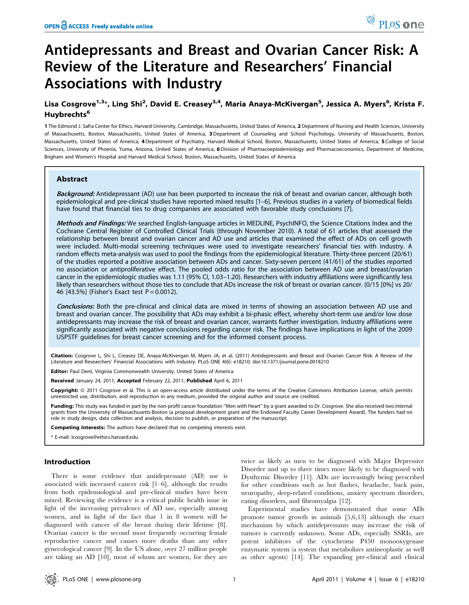# Antidepressants and Breast and Ovarian Cancer Risk: A Review of the Literature and Researchers' Financial Associations with Industry

## Lisa Cosgrove<sup>1,3</sup>\*, Ling Shi<sup>2</sup>, David E. Creasey<sup>3,4</sup>, Maria Anaya-McKivergan<sup>5</sup>, Jessica A. Myers<sup>6</sup>, Krista F. Huybrechts<sup>6</sup>

1 The Edmond J. Safra Center for Ethics, Harvard University, Cambridge, Massachusetts, United States of America, 2 Department of Nursing and Health Sciences, University of Massachusetts, Boston, Massachusetts, United States of America, 3 Department of Counseling and School Psychology, University of Massachusetts, Boston, Massachusetts, United States of America, 4Department of Psychiatry, Harvard Medical School, Boston, Massachusetts, United States of America, 5 College of Social Sciences, University of Phoenix, Yuma, Arizona, United States of America, 6 Division of Pharmacoepiodemiology and Pharmacoeconomics, Department of Medicine, Brigham and Women's Hospital and Harvard Medical School, Boston, Massachusetts, United States of America

## Abstract

Background: Antidepressant (AD) use has been purported to increase the risk of breast and ovarian cancer, although both epidemiological and pre-clinical studies have reported mixed results [1–6]. Previous studies in a variety of biomedical fields have found that financial ties to drug companies are associated with favorable study conclusions [7].

Methods and Findings: We searched English-language articles in MEDLINE, PsychINFO, the Science Citations Index and the Cochrane Central Register of Controlled Clinical Trials (through November 2010). A total of 61 articles that assessed the relationship between breast and ovarian cancer and AD use and articles that examined the effect of ADs on cell growth were included. Multi-modal screening techniques were used to investigate researchers' financial ties with industry. A random effects meta-analysis was used to pool the findings from the epidemiological literature. Thirty-three percent (20/61) of the studies reported a positive association between ADs and cancer. Sixty-seven percent (41/61) of the studies reported no association or antiproliferative effect. The pooled odds ratio for the association between AD use and breast/ovarian cancer in the epidemiologic studies was 1.11 (95% CI, 1.03–1.20). Researchers with industry affiliations were significantly less likely than researchers without those ties to conclude that ADs increase the risk of breast or ovarian cancer. (0/15 [0%] vs 20/ 46 [43.5%] (Fisher's Exact test P = 0.0012).

Conclusions: Both the pre-clinical and clinical data are mixed in terms of showing an association between AD use and breast and ovarian cancer. The possibility that ADs may exhibit a bi-phasic effect, whereby short-term use and/or low dose antidepressants may increase the risk of breast and ovarian cancer, warrants further investigation. Industry affiliations were significantly associated with negative conclusions regarding cancer risk. The findings have implications in light of the 2009 USPSTF guidelines for breast cancer screening and for the informed consent process.

Citation: Cosgrove L, Shi L, Creasey DE, Anaya-McKivergan M, Myers JA, et al. (2011) Antidepressants and Breast and Ovarian Cancer Risk: A Review of the Literature and Researchers' Financial Associations with Industry. PLoS ONE 4(6): e18210. doi:10.1371/journal.pone.0018210

**Editor:** Paul Dent, Virginia Commonwealth University, United States of America

Received January 24, 2011; Accepted February 22, 2011; Published April 6, 2011

Copyright: © 2011 Cosgrove et al. This is an open-access article distributed under the terms of the Creative Commons Attribution License, which permits unrestricted use, distribution, and reproduction in any medium, provided the original author and source are credited.

Funding: This study was funded in part by the non-profit cancer foundation "Men with Heart" by a grant awarded to Dr. Cosgrove. She also received two internal grants from the University of Massachusetts-Boston (a proposal development grant and the Endowed Faculty Career Development Award). The funders had no role in study design, data collection and analysis, decision to publish, or preparation of the manuscript.

Competing Interests: The authors have declared that no competing interests exist.

\* E-mail: lcosgrove@ethics.harvard.edu

#### Introduction

There is some evidence that antidepressant (AD) use is associated with increased cancer risk [1–6], although the results from both epidemiological and pre-clinical studies have been mixed. Reviewing the evidence is a critical public health issue in light of the increasing prevalence of AD use, especially among women, and in light of the fact that 1 in 8 women will be diagnosed with cancer of the breast during their lifetime [8]. Ovarian cancer is the second most frequently occurring female reproductive cancer and causes more deaths than any other gynecological cancer [9]. In the US alone, over 27 million people are taking an AD [10], most of whom are women, for they are

twice as likely as men to be diagnosed with Major Depressive Disorder and up to three times more likely to be diagnosed with Dysthymic Disorder [11]. ADs are increasingly being prescribed for other conditions such as hot flashes, headache, back pain, neuropathy, sleep-related conditions, anxiety spectrum disorders, eating disorders, and fibromyalgia [12].

Experimental studies have demonstrated that some ADs promote tumor growth in animals [5,6,13] although the exact mechanism by which antidepressants may increase the risk of tumors is currently unknown. Some ADs, especially SSRIs, are potent inhibitors of the cytochrome P450 monooxygenase enzymatic system (a system that metabolizes antineoplastic as well as other agents) [14]. The expanding pre-clinical and clinical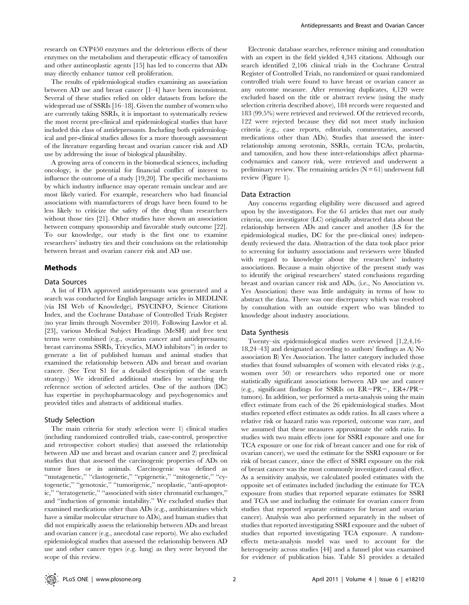research on CYP450 enzymes and the deleterious effects of these enzymes on the metabolism and therapeutic efficacy of tamoxifen and other antineoplastic agents [15] has led to concerns that ADs may directly enhance tumor cell proliferation.

The results of epidemiological studies examining an association between AD use and breast cancer [1–4] have been inconsistent. Several of these studies relied on older datasets from before the widespread use of SSRIs [16–18]. Given the number of women who are currently taking SSRIs, it is important to systematically review the most recent pre-clinical and epidemiological studies that have included this class of antidepressants. Including both epidemiological and pre-clinical studies allows for a more thorough assessment of the literature regarding breast and ovarian cancer risk and AD use by addressing the issue of biological plausibility.

A growing area of concern in the biomedical sciences, including oncology, is the potential for financial conflict of interest to influence the outcome of a study [19,20]. The specific mechanisms by which industry influence may operate remain unclear and are most likely varied. For example, researchers who had financial associations with manufacturers of drugs have been found to be less likely to criticize the safety of the drug than researchers without those ties [21]. Other studies have shown an association between company sponsorship and favorable study outcome [22]. To our knowledge, our study is the first one to examine researchers' industry ties and their conclusions on the relationship between breast and ovarian cancer risk and AD use.

## Methods

#### Data Sources

A list of FDA approved antidepressants was generated and a search was conducted for English language articles in MEDLINE (via ISI Web of Knowledge), PSYCINFO, Science Citations Index, and the Cochrane Database of Controlled Trials Register (no year limits through November 2010). Following Lawlor et al. [23], various Medical Subject Headings (MeSH) and free text terms were combined (e.g., ovarian cancer and antidepressants; breast carcinoma SSRIs, Tricyclics, MAO inhibitors'') in order to generate a list of published human and animal studies that examined the relationship between ADs and breast and ovarian cancer. (See Text S1 for a detailed description of the search strategy.) We identified additional studies by searching the reference section of selected articles. One of the authors (DC) has expertise in psychopharmacology and psychogenomics and provided titles and abstracts of additional studies.

## Study Selection

The main criteria for study selection were 1) clinical studies (including randomized controlled trials, case-control, prospective and retrospective cohort studies) that assessed the relationship between AD use and breast and ovarian cancer and 2) preclinical studies that that assessed the carcinogenic properties of ADs on tumor lines or in animals. Carcinogenic was defined as ''mutagenetic,'' ''clastogenetic,'' ''epigenetic,'' ''mitogenetic,'' ''cytogenetic," "genotoxic," "tumorigenic," neoplastic, "anti-apoptotic,'' ''teratogenetic,'' ''associated with sister chromatid exchanges,'' and ''induction of genomic instability.'' We excluded studies that examined medications other than ADs (e.g., antihistamines which have a similar molecular structure to ADs), and human studies that did not empirically assess the relationship between ADs and breast and ovarian cancer (e.g., anecdotal case reports). We also excluded epidemiological studies that assessed the relationship between AD use and other cancer types (e.g. lung) as they were beyond the scope of this review.

Electronic database searches, reference mining and consultation with an expert in the field yielded 4,343 citations. Although our search identified 2,106 clinical trials in the Cochrane Central Register of Controlled Trials, no randomized or quasi randomized controlled trials were found to have breast or ovarian cancer as any outcome measure. After removing duplicates, 4,120 were excluded based on the title or abstract review (using the study selection criteria described above), 184 records were requested and 183 (99.5%) were retrieved and reviewed. Of the retrieved records, 122 were rejected because they did not meet study inclusion criteria (e.g., case reports, editorials, commentaries, assessed medications other than ADs). Studies that assessed the interrelationship among serotonin, SSRIs, certain TCAs, prolactin, and tamoxifen, and how these inter-relationships affect pharmacodynamics and cancer risk, were retrieved and underwent a preliminary review. The remaining articles  $(N = 61)$  underwent full review (Figure 1).

#### Data Extraction

Any concerns regarding eligibility were discussed and agreed upon by the investigators. For the 61 articles that met our study criteria, one investigator (LC) originally abstracted data about the relationship between ADs and cancer and another (LS for the epidemiological studies, DC for the pre-clinical ones) independently reviewed the data. Abstraction of the data took place prior to screening for industry associations and reviewers were blinded with regard to knowledge about the researchers' industry associations. Because a main objective of the present study was to identify the original researchers' stated conclusions regarding breast and ovarian cancer risk and ADs, (i.e., No Association vs. Yes Association) there was little ambiguity in terms of how to abstract the data. There was one discrepancy which was resolved by consultation with an outside expert who was blinded to knowledge about industry associations.

#### Data Synthesis

Twenty–six epidemiological studies were reviewed [1,2,4,16– 18,24–43] and designated according to authors' findings as A) No association B) Yes Association. The latter category included those studies that found subsamples of women with elevated risks (e.g., women over 50) or researchers who reported one or more statistically significant associations between AD use and cancer (e.g., significant findings for SSRIs on  $ER-PR-$ ,  $ER+/PR$ tumors). In addition, we performed a meta-analysis using the main effect estimate from each of the 26 epidemiological studies. Most studies reported effect estimates as odds ratios. In all cases where a relative risk or hazard ratio was reported, outcome was rare, and we assumed that these measures approximate the odds ratio. In studies with two main effects (one for SSRI exposure and one for TCA exposure or one for risk of breast cancer and one for risk of ovarian cancer), we used the estimate for the SSRI exposure or for risk of breast cancer, since the effect of SSRI exposure on the risk of breast cancer was the most commonly investigated causal effect. As a sensitivity analysis, we calculated pooled estimates with the opposite set of estimates included (including the estimate for TCA exposure from studies that reported separate estimates for SSRI and TCA use and including the estimate for ovarian cancer from studies that reported separate estimates for breast and ovarian cancer). Analysis was also performed separately in the subset of studies that reported investigating SSRI exposure and the subset of studies that reported investigating TCA exposure. A randomeffects meta-analysis model was used to account for the heterogeneity across studies [44] and a funnel plot was examined for evidence of publication bias. Table S1 provides a detailed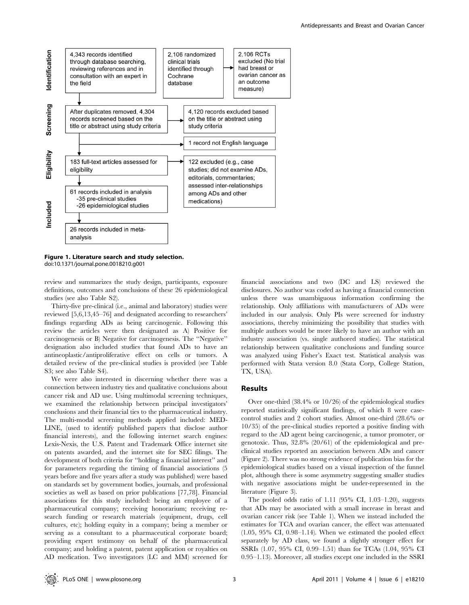

Figure 1. Literature search and study selection. doi:10.1371/journal.pone.0018210.g001

review and summarizes the study design, participants, exposure definitions, outcomes and conclusions of these 26 epidemiological studies (see also Table S2).

Thirty-five pre-clinical (i.e., animal and laboratory) studies were reviewed [5,6,13,45–76] and designated according to researchers' findings regarding ADs as being carcinogenic. Following this review the articles were then designated as A) Positive for carcinogenesis or B) Negative for carcinogenesis. The ''Negative'' designation also included studies that found ADs to have an antineoplastic/antiproliferative effect on cells or tumors. A detailed review of the pre-clinical studies is provided (see Table S3; see also Table S4).

We were also interested in discerning whether there was a connection between industry ties and qualitative conclusions about cancer risk and AD use. Using multimodal screening techniques, we examined the relationship between principal investigators' conclusions and their financial ties to the pharmaceutical industry. The multi-modal screening methods applied included: MED-LINE, (used to identify published papers that disclose author financial interests), and the following internet search engines: Lexis-Nexis, the U.S. Patent and Trademark Office internet site on patents awarded, and the internet site for SEC filings. The development of both criteria for ''holding a financial interest'' and for parameters regarding the timing of financial associations (5 years before and five years after a study was published) were based on standards set by government bodies, journals, and professional societies as well as based on prior publications [77,78]. Financial associations for this study included: being an employee of a pharmaceutical company; receiving honorarium; receiving research funding or research materials (equipment, drugs, cell cultures, etc); holding equity in a company; being a member or serving as a consultant to a pharmaceutical corporate board; providing expert testimony on behalf of the pharmaceutical company; and holding a patent, patent application or royalties on AD medication. Two investigators (LC and MM) screened for

financial associations and two (DC and LS) reviewed the disclosures. No author was coded as having a financial connection unless there was unambiguous information confirming the relationship. Only affiliations with manufacturers of ADs were included in our analysis. Only PIs were screened for industry associations, thereby minimizing the possibility that studies with multiple authors would be more likely to have an author with an industry association (vs. single authored studies). The statistical relationship between qualitative conclusions and funding source was analyzed using Fisher's Exact test. Statistical analysis was performed with Stata version 8.0 (Stata Corp, College Station, TX, USA).

#### Results

Over one-third (38.4% or 10/26) of the epidemiological studies reported statistically significant findings, of which 8 were casecontrol studies and 2 cohort studies. Almost one-third (28.6% or 10/35) of the pre-clinical studies reported a positive finding with regard to the AD agent being carcinogenic, a tumor promoter, or genotoxic. Thus, 32.8% (20/61) of the epidemiological and preclinical studies reported an association between ADs and cancer (Figure 2). There was no strong evidence of publication bias for the epidemiological studies based on a visual inspection of the funnel plot, although there is some asymmetry suggesting smaller studies with negative associations might be under-represented in the literature (Figure 3).

The pooled odds ratio of 1.11 (95% CI, 1.03–1.20), suggests that ADs may be associated with a small increase in breast and ovarian cancer risk (see Table 1). When we instead included the estimates for TCA and ovarian cancer, the effect was attenuated  $(1.05, 95\% \text{ CI}, 0.98-1.14)$ . When we estimated the pooled effect separately by AD class, we found a slightly stronger effect for SSRIs (1.07, 95% CI, 0.99–1.51) than for TCAs (1.04, 95% CI 0.95–1.13). Moreover, all studies except one included in the SSRI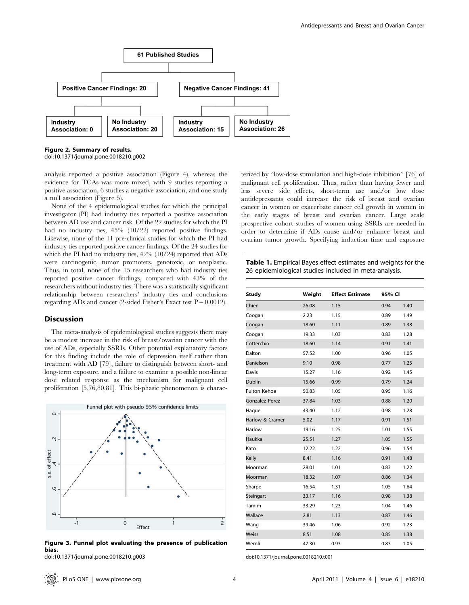

Figure 2. Summary of results. doi:10.1371/journal.pone.0018210.g002

analysis reported a positive association (Figure 4), whereas the evidence for TCAs was more mixed, with 9 studies reporting a positive association, 6 studies a negative association, and one study a null association (Figure 5).

None of the 4 epidemiological studies for which the principal investigator (PI) had industry ties reported a positive association between AD use and cancer risk. Of the 22 studies for which the PI had no industry ties, 45% (10/22) reported positive findings. Likewise, none of the 11 pre-clinical studies for which the PI had industry ties reported positive cancer findings. Of the 24 studies for which the PI had no industry ties, 42% (10/24) reported that ADs were carcinogenic, tumor promoters, genotoxic, or neoplastic. Thus, in total, none of the 15 researchers who had industry ties reported positive cancer findings, compared with 43% of the researchers without industry ties. There was a statistically significant relationship between researchers' industry ties and conclusions regarding ADs and cancer (2-sided Fisher's Exact test  $P = 0.0012$ ).

## **Discussion**

The meta-analysis of epidemiological studies suggests there may be a modest increase in the risk of breast/ovarian cancer with the use of ADs, especially SSRIs. Other potential explanatory factors for this finding include the role of depression itself rather than treatment with AD [79], failure to distinguish between short- and long-term exposure, and a failure to examine a possible non-linear dose related response as the mechanism for malignant cell proliferation [5,76,80,81]. This bi-phasic phenomenon is charac-



Figure 3. Funnel plot evaluating the presence of publication bias.

doi:10.1371/journal.pone.0018210.g003

terized by ''low-dose stimulation and high-dose inhibition'' [76] of malignant cell proliferation. Thus, rather than having fewer and less severe side effects, short-term use and/or low dose antidepressants could increase the risk of breast and ovarian cancer in women or exacerbate cancer cell growth in women in the early stages of breast and ovarian cancer. Large scale prospective cohort studies of women using SSRIs are needed in order to determine if ADs cause and/or enhance breast and ovarian tumor growth. Specifying induction time and exposure

Table 1. Empirical Bayes effect estimates and weights for the 26 epidemiological studies included in meta-analysis.

| <b>Study</b>          | Weight | <b>Effect Estimate</b> | 95% CI |      |
|-----------------------|--------|------------------------|--------|------|
| Chien                 | 26.08  | 1.15                   | 0.94   | 1.40 |
| Coogan                | 2.23   | 1.15                   | 0.89   | 1.49 |
| Coogan                | 18.60  | 1.11                   | 0.89   | 1.38 |
| Coogan                | 19.33  | 1.03                   | 0.83   | 1.28 |
| Cotterchio            | 18.60  | 1.14                   | 0.91   | 1.41 |
| Dalton                | 57.52  | 1.00                   | 0.96   | 1.05 |
| Danielson             | 9.10   | 0.98                   | 0.77   | 1.25 |
| Davis                 | 15.27  | 1.16                   | 0.92   | 1.45 |
| Dublin                | 15.66  | 0.99                   | 0.79   | 1.24 |
| <b>Fulton Kehoe</b>   | 50.83  | 1.05                   | 0.95   | 1.16 |
| <b>Gonzalez Perez</b> | 37.84  | 1.03                   | 0.88   | 1.20 |
| Haque                 | 43.40  | 1.12                   | 0.98   | 1.28 |
| Harlow & Cramer       | 5.02   | 1.17                   | 0.91   | 1.51 |
| Harlow                | 19.16  | 1.25                   | 1.01   | 1.55 |
| Haukka                | 25.51  | 1.27                   | 1.05   | 1.55 |
| Kato                  | 12.22  | 1.22                   | 0.96   | 1.54 |
| Kelly                 | 8.41   | 1.16                   | 0.91   | 1.48 |
| Moorman               | 28.01  | 1.01                   | 0.83   | 1.22 |
| Moorman               | 18.32  | 1.07                   | 0.86   | 1.34 |
| Sharpe                | 16.54  | 1.31                   | 1.05   | 1.64 |
| Steingart             | 33.17  | 1.16                   | 0.98   | 1.38 |
| Tamim                 | 33.29  | 1.23                   | 1.04   | 1.46 |
| Wallace               | 2.81   | 1.13                   | 0.87   | 1.46 |
| Wang                  | 39.46  | 1.06                   | 0.92   | 1.23 |
| Weiss                 | 8.51   | 1.08                   | 0.85   | 1.38 |
| Wernli                | 47.30  | 0.93                   | 0.83   | 1.05 |

doi:10.1371/journal.pone.0018210.t001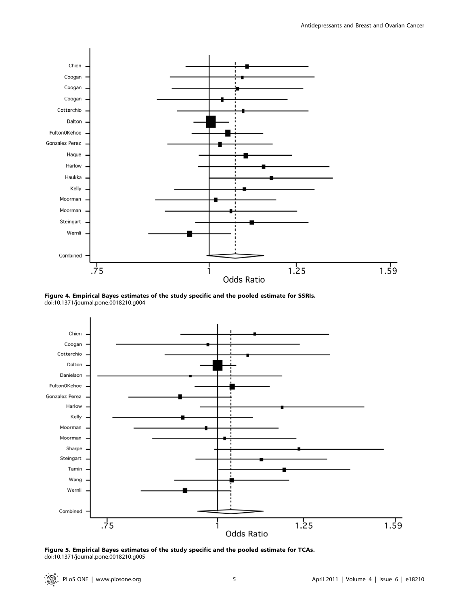

Figure 4. Empirical Bayes estimates of the study specific and the pooled estimate for SSRIs. doi:10.1371/journal.pone.0018210.g004



Figure 5. Empirical Bayes estimates of the study specific and the pooled estimate for TCAs. doi:10.1371/journal.pone.0018210.g005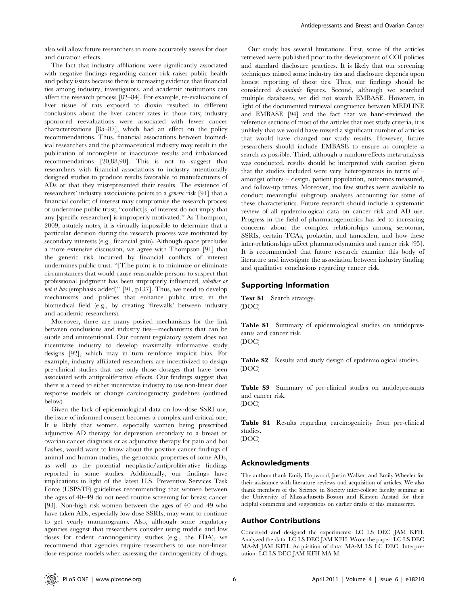also will allow future researchers to more accurately assess for dose and duration effects.

The fact that industry affiliations were significantly associated with negative findings regarding cancer risk raises public health and policy issues because there is increasing evidence that financial ties among industry, investigators, and academic institutions can affect the research process [82–84]. For example, re-evaluations of liver tissue of rats exposed to dioxin resulted in different conclusions about the liver cancer rates in those rats; industry sponsored reevaluations were associated with fewer cancer characterizations [85–87], which had an effect on the policy recommendations. Thus, financial associations between biomedical researchers and the pharmaceutical industry may result in the publication of incomplete or inaccurate results and imbalanced recommendations [20,88,90]. This is not to suggest that researchers with financial associations to industry intentionally designed studies to produce results favorable to manufacturers of ADs or that they misrepresented their results. The existence of researchers' industry associations points to a generic risk [91] that a financial conflict of interest may compromise the research process or undermine public trust; ''conflict[s] of interest do not imply that any [specific researcher] is improperly motivated.'' As Thompson, 2009, astutely notes, it is virtually impossible to determine that a particular decision during the research process was motivated by secondary interests (e.g., financial gain). Although space precludes a more extensive discussion, we agree with Thompson [91] that the generic risk incurred by financial conflicts of interest undermines public trust. ''[T]he point is to minimize or eliminate circumstances that would cause reasonable persons to suspect that professional judgment has been improperly influenced, whether or not it has (emphasis added)'' [91, p137]. Thus, we need to develop mechanisms and policies that enhance public trust in the biomedical field (e.g., by creating 'firewalls' between industry and academic researchers).

Moreover, there are many posited mechanisms for the link between conclusions and industry ties—mechanisms that can be subtle and unintentional. Our current regulatory system does not incentivize industry to develop maximally informative study designs [92], which may in turn reinforce implicit bias. For example, industry affiliated researchers are incentivized to design pre-clinical studies that use only those dosages that have been associated with antiproliferative effects. Our findings suggest that there is a need to either incentivize industry to use non-linear dose response models or change carcinogenicity guidelines (outlined below).

Given the lack of epidemiological data on low-dose SSRI use, the issue of informed consent becomes a complex and critical one. It is likely that women, especially women being prescribed adjunctive AD therapy for depression secondary to a breast or ovarian cancer diagnosis or as adjunctive therapy for pain and hot flashes, would want to know about the positive cancer findings of animal and human studies, the genotoxic properties of some ADs, as well as the potential neoplastic/antiproliferative findings reported in some studies. Additionally, our findings have implications in light of the latest U.S. Preventive Services Task Force (USPSTF) guidelines recommending that women between the ages of 40–49 do not need routine screening for breast cancer [93]. Non-high risk women between the ages of 40 and 49 who have taken ADs, especially low dose SSRIs, may want to continue to get yearly mammograms. Also, although some regulatory agencies suggest that researchers consider using middle and low doses for rodent carcinogenicity studies (e.g., the FDA), we recommend that agencies require researchers to use non-linear dose response models when assessing the carcinogenicity of drugs.

Our study has several limitations. First, some of the articles retrieved were published prior to the development of COI policies and standard disclosure practices. It is likely that our screening techniques missed some industry ties and disclosure depends upon honest reporting of those ties. Thus, our findings should be considered de-minimis figures. Second, although we searched multiple databases, we did not search EMBASE. However, in light of the documented retrieval congruence between MEDLINE and EMBASE [94] and the fact that we hand-reviewed the reference sections of most of the articles that met study criteria, it is unlikely that we would have missed a significant number of articles that would have changed our study results. However, future researchers should include EMBASE to ensure as complete a search as possible. Third, although a random-effects meta-analysis was conducted, results should be interpreted with caution given that the studies included were very heterogeneous in terms of – amongst others – design, patient population, outcomes measured, and follow-up times. Moreover, too few studies were available to conduct meaningful subgroup analyses accounting for some of these characteristics. Future research should include a systematic review of all epidemiological data on cancer risk and AD use. Progress in the field of pharmacogenomics has led to increasing concerns about the complex relationships among serotonin, SSRIs, certain TCAs, prolactin, and tamoxifen, and how these inter-relationships affect pharmacodynamics and cancer risk [95]. It is recommended that future research examine this body of literature and investigate the association between industry funding and qualitative conclusions regarding cancer risk.

## Supporting Information

Text S1 Search strategy. (DOC)

Table S1 Summary of epidemiological studies on antidepressants and cancer risk. (DOC)

Table S2 Results and study design of epidemiological studies. (DOC)

Table S3 Summary of pre-clinical studies on antidepressants and cancer risk. (DOC)

Table S4 Results regarding carcinogenicity from pre-clinical studies. (DOC)

## Acknowledgments

The authors thank Emily Hopwood, Justin Walker, and Emily Wheeler for their assistance with literature reviews and acquisition of articles. We also thank members of the Science in Society inter-college faculty seminar at the University of Massachusetts-Boston and Kirsten Austad for their helpful comments and suggestions on earlier drafts of this manuscript.

### Author Contributions

Conceived and designed the experiments: LC LS DEC JAM KFH. Analyzed the data: LC LS DEC JAM KFH. Wrote the paper: LC LS DEC MA-M JAM KFH. Acquisition of data: MA-M LS LC DEC. Interpretation: LC LS DEC JAM KFH MA-M.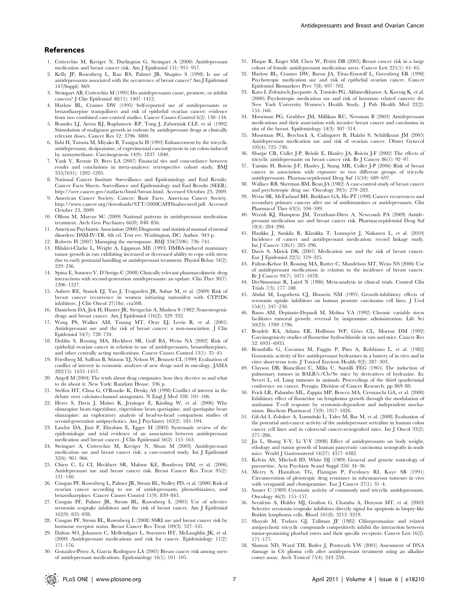#### References

- 1. Cotterchio M, Kreiger N, Darlington G, Steingart A (2000) Antidepressant medication and breast cancer risk. Am J Epidemiol 151: 951–957.
- 2. Kelly JP, Rosenberg L, Rao RS, Palmer JR, Shapiro S (1998) Is use of antidepressants associated with the occurrence of breast cancer? Am J Epidemiol 147(Suppl): S69.
- 3. Steingart AB, Cotterchio M (1995) Do antidepressants cause, promote, or inhibit cancers? J Clin Epidemiol 48(11): 1407–1412.
- 4. Harlow BL, Cramer DW (1995) Self-reported use of antidepressants or benzodiazepine tranquilizers and risk of epithelial ovarian cancer: evidence from two combined case-control studies. Cancer Causes Control 6(2): 130–134.
- 5. Brandes LJ, Arron RJ, Bogdanovic RP, Tong J, Zaborniak CLF, et al. (1992) Stimulation of malignant growth in rodents by antidepressant drugs at clinically relevant doses. Cancer Res 52: 3796–3800.
- 6. Iishi H, Tatsuta M, Miyako B, Taniguchi H (1993) Enhancement by the tricyclic antidepressant, desipramine, of experimental carcinogenesis in rat colon induced by azoxymethane. Carcinogenesis 14(9): 1837–1840.
- 7. Yank V, Rennie D, Bero LA (2007) Financial ties and concordance between results and conclusions in meta-analyses: retrospective cohort study. BMJ 335(7631): 1202–1205.
- 8. National Cancer Institute Surveillance and Epidemiology and End Results. Cancer Facts Sheets. Surveillance and Epidemiology and End Results (SEER). http://seer.cancer.gov/statfacts/html/breast.html. Accessed October 23, 2009.
- 9. American Cancer Society. Cancer: Basic Facts. American Cancer Society. http://www.cancer.org/downloads/STT/2008CAFFfinalsecured.pdf. Accessed October 23, 2009.
- 10. Olfson M, Marcus SC (2009) National patterns in antidepressant medication treatment. Arch Gen Psychiatry 66(8): 848–856.
- 11. American Psychiatric Association (2000) Diagnostic and statistical manual of mental disorders: DSM-IV-TR. 4th ed. Text rev. Washington, DC: Author. 943 p.
- 12. Roberts H (2007) Managing the menopause. BMJ 334(7596): 736–741.
- 13. Hilakivi-Clarke L, Wright A, Lippman ME (1993) DMBA-induced mammary tumor growth in rats exhibiting increased or decreased ability to cope with stress due to early postnatal handling or antidepressant treatment. Physiol Behav 54(2): 229–236.
- 14. Spina E, Santoro V, D'Arrigo C (2008) Clinically relevant pharmacokinetic drug interactions with second-generation antidepressants: an update. Clin Ther 30(7): 1206–1227.
- 15. Aubert RE, Stanek EJ, Yao J, Teagarden JR, Subar M, et al. (2009) Risk of breast cancer recurrence in women initiating tamoxifen with CYP2D6 inhibitors. J Clin Oncol 27(18s): cra508.
- 16. Danielson DA, Jick H, Hunter JR, Stergachis A, Madsen S (1982) Nonestrogenic drugs and breast cancer. Am J Epidemiol 116(2): 329–332.
- 17. Wang PS, Walker AM, Tsuang MT, Orav EJ, Levin R, et al. (2001) Antidepressant use and the risk of breast cancer: a non-association. J Clin Epidemiol 54(7): 728–734.
- 18. Dublin S, Rossing MA, Heckbert SR, Goff BA, Weiss NA (2002) Risk of epithelial ovarian cancer in relation to use of antidepressants, benzodiazepines, and other centrally acting medications. Cancer Causes Control 13(1): 35–45.
- 19. Friedberg M, Saffran B, Stinson TJ, Nelson W, Bennett CL (1999) Evaluation of conflict of interest in economic analyses of new drugs used in oncology. JAMA 282(15): 1453–1457.
- 20. Angell M (2004) The truth about drug companies: how they deceive us and what to do about it. New York: Random House. 336 p.
- 21. Stelfox HT, Chua G, O'Rourke K, Detsky AS (1998) Conflict of interest in the debate over calcium-channel antagonists. N Engl J Med 338: 101–106.
- 22. Heres S, Davis J, Maino K, Jetzinger E, Kissling W, et al. (2006) Why olanzapine beats risperidone, risperidone beats quetiapine, and quetiapine beats olanzapine: an exploratory analysis of head-to-head comparison studies of second-generation antipsychotics. Am J Psychiatry 163(2): 185–194.
- 23. Lawlor DA, Jüni P, Ebrahim E, Egger M (2003) Systematic review of the epidemiologic and trial evidence of an association between antidepressant medication and breast cancer. J Clin Epidemiol 56(2): 155–163.
- 24. Steingart A, Cotterchio M, Kreiger N, Sloan M (2003) Antidepressant medication use and breast cancer risk: a case-control study. Int J Epidemiol 32(6): 961–966.
- 25. Chien C, Li CI, Heckbert SR, Malone KE, Boudreau DM, et al. (2006) Antidepressant use and breast cancer risk. Breast Cancer Res Treat 95(2): 131–140.
- 26. Coogan PF, Rosenberg L, Palmer JR, Strom BL, Stolley PD, et al. (2000) Risk of ovarian cancer according to use of antidepressants, phenothiazines, and benzodiazepines. Cancer Causes Control 11(9): 839–845.
- 27. Coogan PF, Palmer JR, Strom BL, Rosenberg L (2005) Use of selective serotonin reuptake inhibitors and the risk of breast cancer. Am J Epidemiol 162(9): 835–838.
- 28. Coogan PF, Strom BL, Rosenberg L (2008) SSRI use and breast cancer risk by hormone receptor status. Breast Cancer Res Treat 109(3): 527–531.
- 29. Dalton SO, Johansen C, Mellemkjaer L, Sorensen HT, McLaughlin JK, et al. (2000) Antidepressant medications and risk for cancer. Epidemiology 11(2): 171–176.
- 30. González-Pérez A, García Rodríguez LA (2005) Breast cancer risk among users of antidepressant medications. Epidemiology 16(1): 101–105.
- 31. Haque R, Enger SM, Chen W, Petitti DB (2005) Breast cancer risk in a large cohort of female antidepressant medication users. Cancer Lett 221(1): 61–65.
- 32. Harlow BL, Cramer DW, Baron JA, Titus-Ernstoff L, Greenberg ER (1998) Psychotropic medication use and risk of epithelial ovarian cancer. Cancer Epidemiol Biomarkers Prev 7(8): 697–702.
- 33. Kato I, Zeleniuch-Jacquotte A, Toniolo PG, Akhmedkhanov A, Koenig K, et al. (2000) Psychotropic medication use and risk of hormone related cancers: the New York University Women's Health Study. J Pub Health Med 22(2): 155–160.
- 34. Moorman PG, Grubber JM, Millikan RC, Newman B (2003) Antidepressant medications and their association with invasive breast cancer and carcinoma in situ of the breast. Epidemiology 14(3): 307–314.
- 35. Moorman PG, Berchuck A, Calingaert B, Halabi S, Schildkraut JM (2005) Antidepressant medication use and risk of ovarian cancer. Obstet Gynecol 105(4): 725–730.
- 36. Sharpe CR, Collet J-P, Belzile E, Hanley JA, Boivin J-F (2002) The effects of tricyclic antidepressants on breast cancer risk. Br J Cancer 86(1): 92–97.
- 37. Tamim H, Boivin J-F, Hanley J, Stang MR, Collet J-P (2006) Risk of breast cancer in association with exposure to two different groups of tricyclic antidepressants. Pharmacoepidemiol Drug Saf 15(10): 689–697.
- 38. Wallace RB, Sherman BM, Bean JA (1982) A case-control study of breast cancer and psychotropic drug use. Oncology 39(5): 279–283.
- 39. Weiss SR, McFarland BH, Burkhart GA, Ho PT (1998) Cancer recurrences and secondary primary cancers after use of antihistamines or antidepressants. Clin Pharmacol Ther 63(5): 594–599.
- 40. Wernli KJ, Hampton JM, Trentham-Dietz A, Newcomb PA (2009) Antidepressant medication use and breast cancer risk. Pharmacoepidemiol Drug Saf 18(4): 284–290.
- 41. Haukka J, Sankila R, Klaukka T, Lonnqvist J, Niskanen L, et al. (2010) Incidence of cancer and antidepressant medication: record linkage study. Int J Cancer 126(1): 285–296.
- 42. Davis S, Mirick DK (2007) Medication use and the risk of breast cancer. Eur J Epidemiol 22(5): 319–325.
- 43. Fulton-Kehoe D, Rossing MA, Rutter C, Mandelson MT, Weiss NS (2006) Use of antidepressant medications in relation to the incidence of breast cancer. Br J Cancer 94(7): 1071–1078.
- 44. DerSimonian R, Laird N (1986) Meta-analysis in clinical trials. Control Clin Trials 7(3): 177–188.
- 45. Abdul M, Logothetis CJ, Hoosein NM (1995) Growth-inhibitory effects of serotonin uptake inhibitors on human prostate carcinoma cell lines. J Urol 154(1): 247–250.
- 46. Basso AM, Depiante-Depaoli M, Molina VA (1992) Chronic variable stress facilitates tumoral growth: reversal by imipramine administration. Life Sci 50(23): 1789–1796.
- 47. Bendele RA, Adams ER, Hoffman WP, Gries CL, Morton DM (1992) Carcinogenicity studies of fluoxetine hydrochloride in rats and mice. Cancer Res 52: 6931–6935.
- 48. Brambilla G, Cavanna M, Faggin P, Pino A, Robbiano L, et al. (1982) Genotoxic activity of five antidepressant hydrazines in a battery of in vivo and in vitro short-term tests. J Toxicol Environ Health 9(2): 287–303.
- 49. Clayson DB, Biancifiori C, Milia U, Santilli FEG (1965) The induction of pulmonary tumors in BALB/c/Cb/Se mice by derivatives of hydrazine. In: Severi L, ed. Lung tumours in animals: Proceedings of the third quadrennial conference on cancer. Perugia: Division of Cancer Research. pp 869–80.
- 50. Frick LR, Palumbo ML, Zappia MP, Brocco MA, Cremaschi GA, et al. (2008) Inhibitory effect of fluoxetine on lymphoma growth through the modulation of antitumor T-cell response by serotonin-dependent and independent mechanisms. Biochem Pharmacol 75(9): 1817–1826.
- 51. Gil-Ad I, Zolokov A, Lomnitski L, Taler M, Bar M, et al. (2008) Evaluation of the potential anti-cancer activity of the antidepressant sertraline in human colon cancer cell lines and in colorectal cancer-xenografted mice. Int J Oncol 33(2): 277–286.
- 52. Jia L, Shang Y-Y, Li Y-Y (2008) Effect of antidepressants on body weight, ethology and tumor growth of human pancreatic carcinoma xenografts in nude mice. World J Gastroenterol 14(27): 4377–4382.
- 53. Kelvin AS, Mitchell ID, White DJ (1989) General and genetic toxicology of paroxetine. Acta Psychiatr Scand Suppl 350: 34–36.
- 54. Merry S, Hamilton TG, Flanigan P, Freshney RI, Kaye SB (1991) Circumvention of pleiotropic drug resistance in subcutaneous tumours in vivo with verapamil and clomipramine. Eur J Cancer 27(1): 31–4.
- 55. Sauter C (1989) Cytostatic activity of commonly used tricyclic antidepressants. Oncology 46(3): 155–157.
- 56. Serafeim A, Holder MJ, Grafton G, Chamba A, Drayson MT, et al. (2003) Selective serotonin reuptake inhibitors directly signal for apoptosis in biopsy-like Burkitt lymphoma cells. Blood 101(8): 3212–3219.
- 57. Shoyab M, Todaro GJ, Tallman JF (1982) Chlorpromazine and related antipsychotic tricyclic compounds competitively inhibit the interaction between tumor-promoting phorbol esters and their specific receptors. Cancer Lett 16(2): 171–177.
- 58. Slamon ND, Ward TH, Butler J, Pentreath VW (2001) Assessment of DNA damage in C6 glioma cells after antidepressant treatment using an alkaline comet assay. Arch Toxicol 75(4): 243–250.